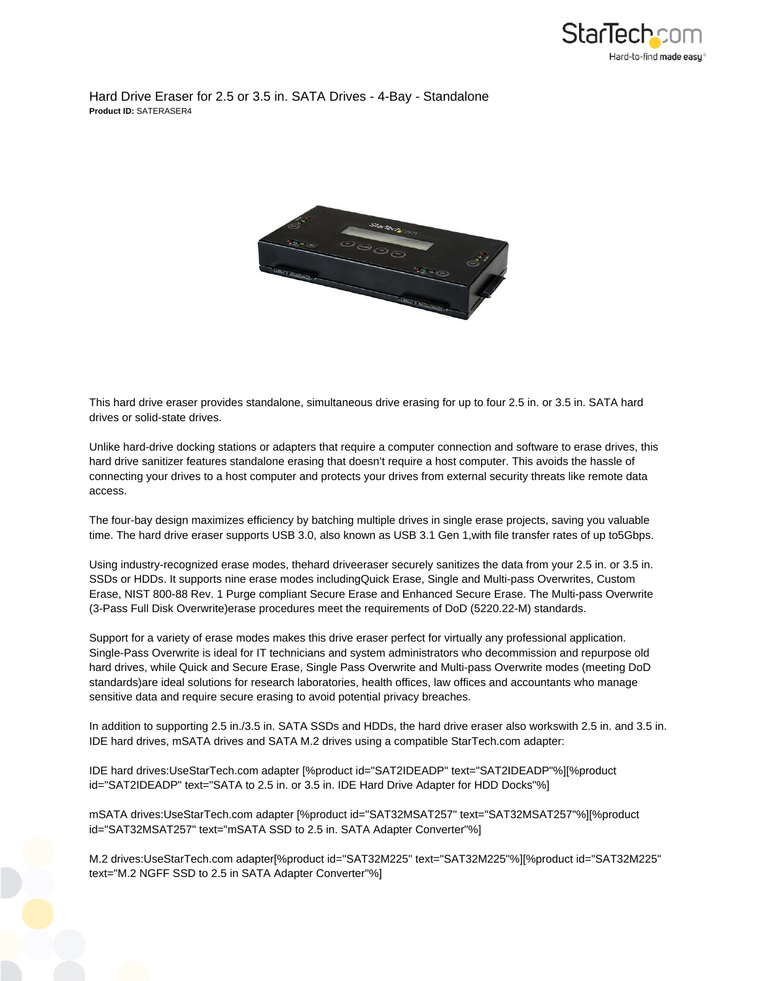

Hard Drive Eraser for 2.5 or 3.5 in. SATA Drives - 4-Bay - Standalone **Product ID:** SATERASER4



This hard drive eraser provides standalone, simultaneous drive erasing for up to four 2.5 in. or 3.5 in. SATA hard drives or solid-state drives.

Unlike hard-drive docking stations or adapters that require a computer connection and software to erase drives, this hard drive sanitizer features standalone erasing that doesn't require a host computer. This avoids the hassle of connecting your drives to a host computer and protects your drives from external security threats like remote data access.

The four-bay design maximizes efficiency by batching multiple drives in single erase projects, saving you valuable time. The hard drive eraser supports USB 3.0, also known as USB 3.1 Gen 1, with file transfer rates of up to5Gbps.

Using industry-recognized erase modes, thehard driveeraser securely sanitizes the data from your 2.5 in. or 3.5 in. SSDs or HDDs. It supports nine erase modes includingQuick Erase, Single and Multi-pass Overwrites, Custom Erase, NIST 800-88 Rev. 1 Purge compliant Secure Erase and Enhanced Secure Erase. The Multi-pass Overwrite (3-Pass Full Disk Overwrite)erase procedures meet the requirements of DoD (5220.22-M) standards.

Support for a variety of erase modes makes this drive eraser perfect for virtually any professional application. Single-Pass Overwrite is ideal for IT technicians and system administrators who decommission and repurpose old hard drives, while Quick and Secure Erase, Single Pass Overwrite and Multi-pass Overwrite modes (meeting DoD standards)are ideal solutions for research laboratories, health offices, law offices and accountants who manage sensitive data and require secure erasing to avoid potential privacy breaches.

In addition to supporting 2.5 in./3.5 in. SATA SSDs and HDDs, the hard drive eraser also workswith 2.5 in. and 3.5 in. IDE hard drives, mSATA drives and SATA M.2 drives using a compatible StarTech.com adapter:

IDE hard drives:UseStarTech.com adapter [%product id="SAT2IDEADP" text="SAT2IDEADP"%][%product id="SAT2IDEADP" text="SATA to 2.5 in. or 3.5 in. IDE Hard Drive Adapter for HDD Docks"%]

mSATA drives:UseStarTech.com adapter [%product id="SAT32MSAT257" text="SAT32MSAT257"%][%product id="SAT32MSAT257" text="mSATA SSD to 2.5 in. SATA Adapter Converter"%]

M.2 drives:UseStarTech.com adapter[%product id="SAT32M225" text="SAT32M225"%][%product id="SAT32M225" text="M.2 NGFF SSD to 2.5 in SATA Adapter Converter"%]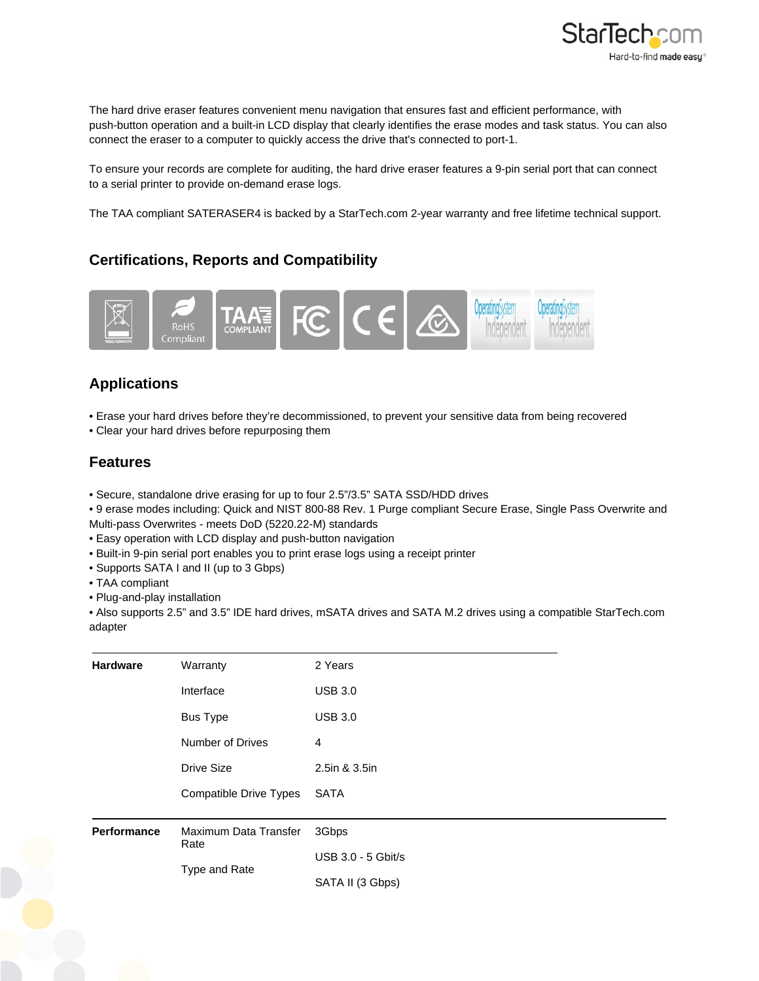

The hard drive eraser features convenient menu navigation that ensures fast and efficient performance, with push-button operation and a built-in LCD display that clearly identifies the erase modes and task status. You can also connect the eraser to a computer to quickly access the drive that's connected to port-1.

To ensure your records are complete for auditing, the hard drive eraser features a 9-pin serial port that can connect to a serial printer to provide on-demand erase logs.

The TAA compliant SATERASER4 is backed by a StarTech.com 2-year warranty and free lifetime technical support.

## **Certifications, Reports and Compatibility**



## **Applications**

- Erase your hard drives before they're decommissioned, to prevent your sensitive data from being recovered
- Clear your hard drives before repurposing them

## **Features**

- Secure, standalone drive erasing for up to four 2.5"/3.5" SATA SSD/HDD drives
- 9 erase modes including: Quick and NIST 800-88 Rev. 1 Purge compliant Secure Erase, Single Pass Overwrite and Multi-pass Overwrites - meets DoD (5220.22-M) standards
- Easy operation with LCD display and push-button navigation
- Built-in 9-pin serial port enables you to print erase logs using a receipt printer
- Supports SATA I and II (up to 3 Gbps)
- TAA compliant
- Plug-and-play installation

• Also supports 2.5" and 3.5" IDE hard drives, mSATA drives and SATA M.2 drives using a compatible StarTech.com adapter

| <b>Hardware</b>    | Warranty                      | 2 Years            |
|--------------------|-------------------------------|--------------------|
|                    | Interface                     | <b>USB 3.0</b>     |
|                    | <b>Bus Type</b>               | <b>USB 3.0</b>     |
|                    | <b>Number of Drives</b>       | 4                  |
|                    | <b>Drive Size</b>             | 2.5in & 3.5in      |
|                    | Compatible Drive Types        | <b>SATA</b>        |
| <b>Performance</b> | Maximum Data Transfer<br>Rate | 3Gbps              |
|                    | Type and Rate                 | USB 3.0 - 5 Gbit/s |
|                    |                               | SATA II (3 Gbps)   |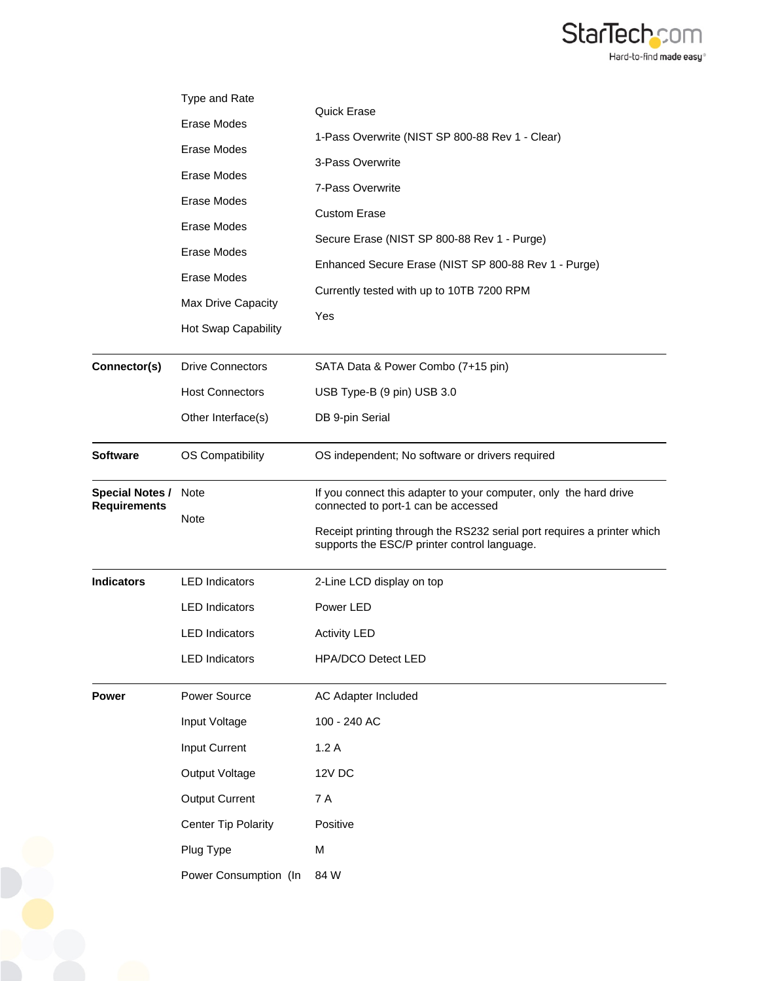

|                                               | Type and Rate                                    |                                                                                                                                                                                                                                     |
|-----------------------------------------------|--------------------------------------------------|-------------------------------------------------------------------------------------------------------------------------------------------------------------------------------------------------------------------------------------|
|                                               | Erase Modes                                      | <b>Quick Erase</b>                                                                                                                                                                                                                  |
|                                               | Erase Modes                                      | 1-Pass Overwrite (NIST SP 800-88 Rev 1 - Clear)                                                                                                                                                                                     |
|                                               | Erase Modes                                      | 3-Pass Overwrite                                                                                                                                                                                                                    |
| Erase Modes<br>Erase Modes                    |                                                  | 7-Pass Overwrite                                                                                                                                                                                                                    |
|                                               |                                                  | <b>Custom Erase</b>                                                                                                                                                                                                                 |
|                                               | Erase Modes<br>Erase Modes<br>Max Drive Capacity | Secure Erase (NIST SP 800-88 Rev 1 - Purge)                                                                                                                                                                                         |
|                                               |                                                  | Enhanced Secure Erase (NIST SP 800-88 Rev 1 - Purge)                                                                                                                                                                                |
|                                               |                                                  | Currently tested with up to 10TB 7200 RPM                                                                                                                                                                                           |
|                                               | Hot Swap Capability                              | Yes                                                                                                                                                                                                                                 |
| Connector(s)                                  | <b>Drive Connectors</b>                          | SATA Data & Power Combo (7+15 pin)                                                                                                                                                                                                  |
|                                               | <b>Host Connectors</b>                           | USB Type-B (9 pin) USB 3.0                                                                                                                                                                                                          |
|                                               | Other Interface(s)                               | DB 9-pin Serial                                                                                                                                                                                                                     |
| <b>Software</b>                               | OS Compatibility                                 | OS independent; No software or drivers required                                                                                                                                                                                     |
| <b>Special Notes /</b><br><b>Requirements</b> | <b>Note</b><br><b>Note</b>                       | If you connect this adapter to your computer, only the hard drive<br>connected to port-1 can be accessed<br>Receipt printing through the RS232 serial port requires a printer which<br>supports the ESC/P printer control language. |
| <b>Indicators</b>                             | <b>LED</b> Indicators                            | 2-Line LCD display on top                                                                                                                                                                                                           |
|                                               | <b>LED</b> Indicators                            | Power LED                                                                                                                                                                                                                           |
|                                               | <b>LED</b> Indicators                            | <b>Activity LED</b>                                                                                                                                                                                                                 |
|                                               | <b>LED Indicators</b>                            | <b>HPA/DCO Detect LED</b>                                                                                                                                                                                                           |
| <b>Power</b>                                  | Power Source                                     | AC Adapter Included                                                                                                                                                                                                                 |
|                                               | Input Voltage                                    | 100 - 240 AC                                                                                                                                                                                                                        |
|                                               | Input Current                                    | 1.2A                                                                                                                                                                                                                                |
|                                               | Output Voltage                                   | 12V DC                                                                                                                                                                                                                              |
|                                               | <b>Output Current</b>                            | 7 A                                                                                                                                                                                                                                 |
|                                               | <b>Center Tip Polarity</b>                       | Positive                                                                                                                                                                                                                            |
|                                               | Plug Type                                        | M                                                                                                                                                                                                                                   |
|                                               | Power Consumption (In                            | 84 W                                                                                                                                                                                                                                |